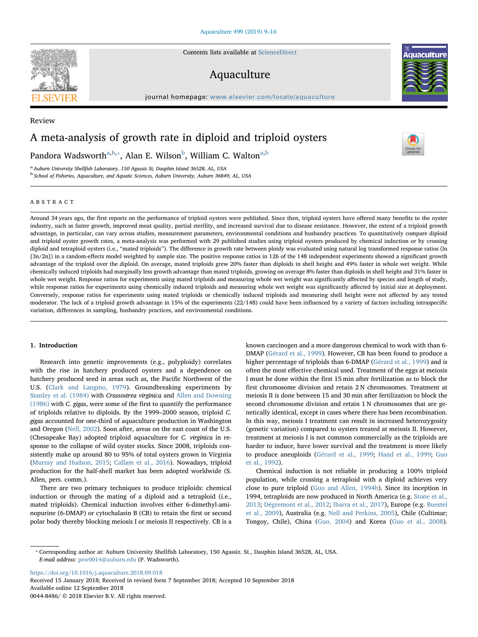

Review

Contents lists available at [ScienceDirect](http://www.sciencedirect.com/science/journal/00448486)

## Aquaculture



journal homepage: [www.elsevier.com/locate/aquaculture](https://www.elsevier.com/locate/aquaculture)

# A meta-analysis of growth rate in diploid and triploid oysters

P[a](#page-0-0)ndora Wadsworth $^{\mathrm{a,b,*}}$  $^{\mathrm{a,b,*}}$  $^{\mathrm{a,b,*}}$ , Alan E. Wilson $^{\mathrm{b}}$  $^{\mathrm{b}}$  $^{\mathrm{b}}$ , William C. Walton $^{\mathrm{a,b}}$  $^{\mathrm{a,b}}$  $^{\mathrm{a,b}}$ 

<span id="page-0-1"></span><span id="page-0-0"></span><sup>a</sup> Auburn University Shellfish Laboratory, 150 Agassiz St, Dauphin Island 36528, AL, USA b School of Fisheries, Aquaculture, and Aquatic Sciences, Auburn University, Auburn 36849, AL, USA

## ABSTRACT

Around 34 years ago, the first reports on the performance of triploid oysters were published. Since then, triploid oysters have offered many benefits to the oyster industry, such as faster growth, improved meat quality, partial sterility, and increased survival due to disease resistance. However, the extent of a triploid growth advantage, in particular, can vary across studies, measurement parameters, environmental conditions and husbandry practices. To quantitatively compare diploid and triploid oyster growth rates, a meta-analysis was performed with 29 published studies using triploid oysters produced by chemical induction or by crossing diploid and tetraploid oysters (i.e., "mated triploids"). The difference in growth rate between ploidy was evaluated using natural log transformed response ratios (ln [3n/2n]) in a random-effects model weighted by sample size. The positive response ratios in 126 of the 148 independent experiments showed a significant growth advantage of the triploid over the diploid. On average, mated triploids grew 20% faster than diploids in shell height and 49% faster in whole wet weight. While chemically induced triploids had marginally less growth advantage than mated triploids, growing on average 8% faster than diploids in shell height and 31% faster in whole wet weight. Response ratios for experiments using mated triploids and measuring whole wet weight was significantly affected by species and length of study, while response ratios for experiments using chemically induced triploids and measuring whole wet weight was significantly affected by initial size at deployment. Conversely, response ratios for experiments using mated triploids or chemically induced triploids and measuring shell height were not affected by any tested moderator. The lack of a triploid growth advantage in 15% of the experiments (22/148) could have been influenced by a variety of factors including intraspecific variation, differences in sampling, husbandry practices, and environmental conditions.

## 1. Introduction

Research into genetic improvements (e.g., polyploidy) correlates with the rise in hatchery produced oysters and a dependence on hatchery produced seed in areas such as, the Pacific Northwest of the U.S. ([Clark and Langmo, 1979\)](#page-6-0). Groundbreaking experiments by [Stanley et al. \(1984\)](#page-7-0) with Crassostrea virginica and [Allen and Downing](#page-6-1) [\(1986\)](#page-6-1) with C. gigas, were some of the first to quantify the performance of triploids relative to diploids. By the 1999–2000 season, triploid C. gigas accounted for one-third of aquaculture production in Washington and Oregon [\(Nell, 2002](#page-7-1)). Soon after, areas on the east coast of the U.S. (Chesapeake Bay) adopted triploid aquaculture for C. virginica in response to the collapse of wild oyster stocks. Since 2008, triploids consistently make up around 80 to 95% of total oysters grown in Virginia ([Murray and Hudson, 2015;](#page-7-2) [Callam et al., 2016](#page-6-2)). Nowadays, triploid production for the half-shell market has been adopted worldwide (S. Allen, pers. comm.).

There are two primary techniques to produce triploids: chemical induction or through the mating of a diploid and a tetraploid (i.e., mated triploids). Chemical induction involves either 6-dimethyl-aminopurine (6-DMAP) or cytochalasin B (CB) to retain the first or second polar body thereby blocking meiosis I or meiosis II respectively. CB is a

known carcinogen and a more dangerous chemical to work with than 6- DMAP [\(Gérard et al., 1999](#page-6-3)). However, CB has been found to produce a higher percentage of triploids than 6-DMAP ([Gérard et al., 1999\)](#page-6-3) and is often the most effective chemical used. Treatment of the eggs at meiosis I must be done within the first 15 min after fertilization as to block the first chromosome division and retain 2 N chromosomes. Treatment at meiosis II is done between 15 and 30 min after fertilization to block the second chromosome division and retain 1 N chromosomes that are genetically identical, except in cases where there has been recombination. In this way, meiosis I treatment can result in increased heterozygosity (genetic variation) compared to oysters treated at meiosis II. However, treatment at meiosis I is not common commercially as the triploids are harder to induce, have lower survival and the treatment is more likely to produce aneuploids ([Gérard et al., 1999;](#page-6-3) [Hand et al., 1999](#page-6-4); [Guo](#page-6-5) [et al., 1992](#page-6-5)).

Chemical induction is not reliable in producing a 100% triploid population, while crossing a tetraploid with a diploid achieves very close to pure triploid [\(Guo and Allen, 1994b\)](#page-6-6). Since its inception in 1994, tetraploids are now produced in North America (e.g. [Stone et al.,](#page-7-3) [2013;](#page-7-3) [Dégremont et al., 2012;](#page-6-7) [Ibarra et al., 2017](#page-6-8)), Europe (e.g. [Buestel](#page-6-9) [et al., 2009\)](#page-6-9), Australia (e.g. [Nell and Perkins, 2005](#page-7-4)), Chile (Cultimar; Tongoy, Chile), China [\(Guo, 2004](#page-6-10)) and Korea ([Guo et al., 2008](#page-6-11)).

<https://doi.org/10.1016/j.aquaculture.2018.09.018>

Received 15 January 2018; Received in revised form 7 September 2018; Accepted 10 September 2018 Available online 12 September 2018 0044-8486/ © 2018 Elsevier B.V. All rights reserved.



<span id="page-0-2"></span><sup>⁎</sup> Corresponding author at: Auburn University Shellfish Laboratory, 150 Agassiz. St., Dauphin Island 36528, AL, USA. E-mail address: [pzw0014@auburn.edu](mailto:pzw0014@auburn.edu) (P. Wadsworth).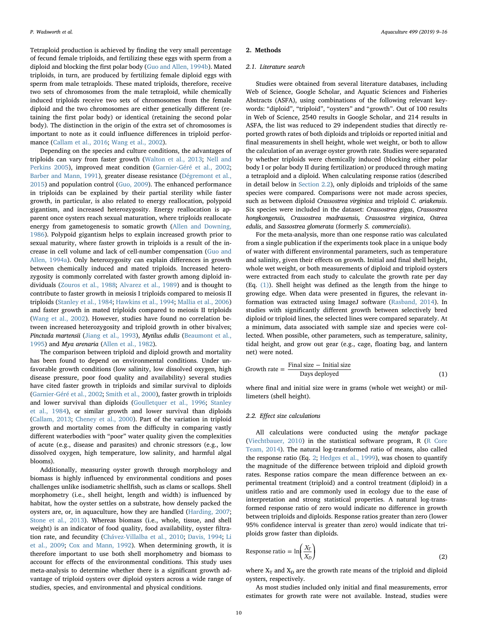Tetraploid production is achieved by finding the very small percentage of fecund female triploids, and fertilizing these eggs with sperm from a diploid and blocking the first polar body [\(Guo and Allen, 1994b](#page-6-6)). Mated triploids, in turn, are produced by fertilizing female diploid eggs with sperm from male tetraploids. These mated triploids, therefore, receive two sets of chromosomes from the male tetraploid, while chemically induced triploids receive two sets of chromosomes from the female diploid and the two chromosomes are either genetically different (retaining the first polar body) or identical (retaining the second polar body). The distinction in the origin of the extra set of chromosomes is important to note as it could influence differences in triploid performance [\(Callam et al., 2016](#page-6-2); [Wang et al., 2002\)](#page-7-5).

Depending on the species and culture conditions, the advantages of triploids can vary from faster growth ([Walton et al., 2013;](#page-7-6) [Nell and](#page-7-4) [Perkins 2005](#page-7-4)), improved meat condition ([Garnier-Géré et al., 2002](#page-6-12); [Barber and Mann, 1991\)](#page-6-13), greater disease resistance ([Dégremont et al.,](#page-6-14) [2015\)](#page-6-14) and population control ([Guo, 2009\)](#page-6-15). The enhanced performance in triploids can be explained by their partial sterility while faster growth, in particular, is also related to energy reallocation, polypoid gigantism, and increased heterozygosity. Energy reallocation is apparent once oysters reach sexual maturation, where triploids reallocate energy from gametogenesis to somatic growth [\(Allen and Downing,](#page-6-1) [1986\)](#page-6-1). Polypoid gigantism helps to explain increased growth prior to sexual maturity, where faster growth in triploids is a result of the increase in cell volume and lack of cell-number compensation [\(Guo and](#page-6-16) [Allen, 1994a\)](#page-6-16). Only heterozygosity can explain differences in growth between chemically induced and mated triploids. Increased heterozygosity is commonly correlated with faster growth among diploid individuals ([Zouros et al., 1988](#page-7-7); [Alvarez et al., 1989](#page-6-17)) and is thought to contribute to faster growth in meiosis I triploids compared to meiosis II triploids [\(Stanley et al., 1984](#page-7-0); [Hawkins et al., 1994](#page-6-18); [Mallia et al., 2006\)](#page-7-8) and faster growth in mated triploids compared to meiosis II triploids ([Wang et al., 2002](#page-7-5)). However, studies have found no correlation between increased heterozygosity and triploid growth in other bivalves; Pinctada martensii [\(Jiang et al., 1993](#page-7-9)), Mytilus edulis ([Beaumont et al.,](#page-6-19) [1995\)](#page-6-19) and Mya arenaria [\(Allen et al., 1982](#page-6-20)).

The comparison between triploid and diploid growth and mortality has been found to depend on environmental conditions. Under unfavorable growth conditions (low salinity, low dissolved oxygen, high disease pressure, poor food quality and availability) several studies have cited faster growth in triploids and similar survival to diploids ([Garnier-Géré et al., 2002;](#page-6-12) Smith [et al., 2000](#page-7-10)), faster growth in triploids and lower survival than diploids ([Goulletquer et al., 1996](#page-6-21); [Stanley](#page-7-0) [et al., 1984\)](#page-7-0), or similar growth and lower survival than diploids ([Callam, 2013;](#page-6-22) [Cheney et al., 2000\)](#page-6-23). Part of the variation in triploid growth and mortality comes from the difficulty in comparing vastly different waterbodies with "poor" water quality given the complexities of acute (e.g., disease and parasites) and chronic stressors (e.g., low dissolved oxygen, high temperature, low salinity, and harmful algal blooms).

Additionally, measuring oyster growth through morphology and biomass is highly influenced by environmental conditions and poses challenges unlike isodiametric shellfish, such as clams or scallops. Shell morphometry (i.e., shell height, length and width) is influenced by habitat, how the oyster settles on a substrate, how densely packed the oysters are, or, in aquaculture, how they are handled ([Harding, 2007](#page-6-24); [Stone et al., 2013\)](#page-7-3). Whereas biomass (i.e., whole, tissue, and shell weight) is an indicator of food quality, food availability, oyster filtration rate, and fecundity ([Chávez-Villalba et al., 2010;](#page-6-25) [Davis, 1994;](#page-6-26) [Li](#page-7-11) [et al., 2009](#page-7-11); [Cox and Mann, 1992\)](#page-6-27). When determining growth, it is therefore important to use both shell morphometry and biomass to account for effects of the environmental conditions. This study uses meta-analysis to determine whether there is a significant growth advantage of triploid oysters over diploid oysters across a wide range of studies, species, and environmental and physical conditions.

#### 2. Methods

#### 2.1. Literature search

Studies were obtained from several literature databases, including Web of Science, Google Scholar, and Aquatic Sciences and Fisheries Abstracts (ASFA), using combinations of the following relevant keywords: "diploid", "triploid", "oysters" and "growth". Out of 100 results in Web of Science, 2540 results in Google Scholar, and 214 results in ASFA, the list was reduced to 29 independent studies that directly reported growth rates of both diploids and triploids or reported initial and final measurements in shell height, whole wet weight, or both to allow the calculation of an average oyster growth rate. Studies were separated by whether triploids were chemically induced (blocking either polar body I or polar body II during fertilization) or produced through mating a tetraploid and a diploid. When calculating response ratios (described in detail below in [Section 2.2\)](#page-1-0), only diploids and triploids of the same species were compared. Comparisons were not made across species, such as between diploid Crassostrea virginica and triploid C. ariakensis. Six species were included in the dataset: Crassostrea gigas, Crassostrea hongkongensis, Crassostrea madrasensis, Crassostrea virginica, Ostrea edulis, and Sassostrea glomerata (formerly S. commercialis).

For the meta-analysis, more than one response ratio was calculated from a single publication if the experiments took place in a unique body of water with different environmental parameters, such as temperature and salinity, given their effects on growth. Initial and final shell height, whole wet weight, or both measurements of diploid and triploid oysters were extracted from each study to calculate the growth rate per day (Eq. [\(1\)](#page-1-1)). Shell height was defined as the length from the hinge to growing edge. When data were presented in figures, the relevant information was extracted using ImageJ software ([Rasband, 2014\)](#page-7-12). In studies with significantly different growth between selectively bred diploid or triploid lines, the selected lines were compared separately. At a minimum, data associated with sample size and species were collected. When possible, other parameters, such as temperature, salinity, tidal height, and grow out gear (e.g., cage, floating bag, and lantern net) were noted.

<span id="page-1-1"></span>
$$
Growth rate = \frac{Final size - Initial size}{Days deployed}
$$
\n(1)

where final and initial size were in grams (whole wet weight) or millimeters (shell height).

## <span id="page-1-0"></span>2.2. Effect size calculations

All calculations were conducted using the metafor package ([Viechtbauer, 2010\)](#page-7-13) in the statistical software program, R ([R Core](#page-7-14) [Team, 2014](#page-7-14)). The natural log-transformed ratio of means, also called the response ratio (Eq. [2](#page-1-2); [Hedges et al., 1999\)](#page-6-28), was chosen to quantify the magnitude of the difference between triploid and diploid growth rates. Response ratios compare the mean difference between an experimental treatment (triploid) and a control treatment (diploid) in a unitless ratio and are commonly used in ecology due to the ease of interpretation and strong statistical properties. A natural log-transformed response ratio of zero would indicate no difference in growth between triploids and diploids. Response ratios greater than zero (lower 95% confidence interval is greater than zero) would indicate that triploids grow faster than diploids.

<span id="page-1-2"></span>Response ratio = 
$$
\ln\left(\frac{X_T}{X_D}\right)
$$
 (2)

where  $X_T$  and  $X_D$  are the growth rate means of the triploid and diploid oysters, respectively.

As most studies included only initial and final measurements, error estimates for growth rate were not available. Instead, studies were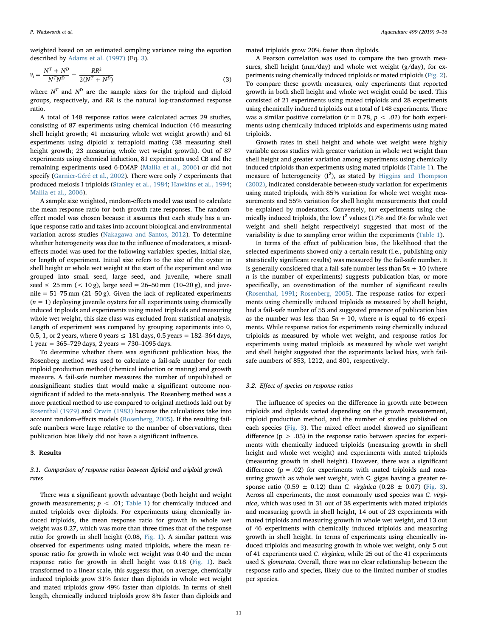<span id="page-2-0"></span>
$$
v_i = \frac{N^T + N^D}{N^T N^D} + \frac{R R^2}{2(N^T + N^D)}
$$
(3)

where  $N^T$  and  $N^D$  are the sample sizes for the triploid and diploid groups, respectively, and RR is the natural log-transformed response ratio.

A total of 148 response ratios were calculated across 29 studies, consisting of 87 experiments using chemical induction (46 measuring shell height growth; 41 measuring whole wet weight growth) and 61 experiments using diploid x tetraploid mating (38 measuring shell height growth; 23 measuring whole wet weight growth). Out of 87 experiments using chemical induction, 81 experiments used CB and the remaining experiments used 6-DMAP [\(Mallia et al., 2006\)](#page-7-8) or did not specify [\(Garnier-Géré et al., 2002](#page-6-12)). There were only 7 experiments that produced meiosis I triploids ([Stanley et al., 1984](#page-7-0); [Hawkins et al., 1994](#page-6-18); [Mallia et al., 2006](#page-7-8)).

A sample size weighted, random-effects model was used to calculate the mean response ratio for both growth rate responses. The randomeffect model was chosen because it assumes that each study has a unique response ratio and takes into account biological and environmental variation across studies ([Nakagawa and Santos, 2012\)](#page-7-15). To determine whether heterogeneity was due to the influence of moderators, a mixedeffects model was used for the following variables: species, initial size, or length of experiment. Initial size refers to the size of the oyster in shell height or whole wet weight at the start of the experiment and was grouped into small seed, large seed, and juvenile, where small seed ≤ 25 mm (< 10 g), large seed = 26–50 mm (10–20 g), and juvenile =  $51-75$  mm (21-50 g). Given the lack of replicated experiments  $(n = 1)$  deploying juvenile oysters for all experiments using chemically induced triploids and experiments using mated triploids and measuring whole wet weight, this size class was excluded from statistical analysis. Length of experiment was compared by grouping experiments into 0, 0.5, 1, or 2 years, where 0 years  $\leq$  181 days, 0.5 years = 182–364 days,  $1$  year = 365–729 days,  $2$  years = 730–1095 days.

To determine whether there was significant publication bias, the Rosenberg method was used to calculate a fail-safe number for each triploid production method (chemical induction or mating) and growth measure. A fail-safe number measures the number of unpublished or nonsignificant studies that would make a significant outcome nonsignificant if added to the meta-analysis. The Rosenberg method was a more practical method to use compared to original methods laid out by [Rosenthal \(1979\)](#page-7-16) and [Orwin \(1983\)](#page-7-17) because the calculations take into account random-effects models ([Rosenberg, 2005](#page-7-18)). If the resulting failsafe numbers were large relative to the number of observations, then publication bias likely did not have a significant influence.

#### 3. Results

## 3.1. Comparison of response ratios between diploid and triploid growth rates

There was a significant growth advantage (both height and weight growth measurements;  $p < .01$ ; [Table 1\)](#page-3-0) for chemically induced and mated triploids over diploids. For experiments using chemically induced triploids, the mean response ratio for growth in whole wet weight was 0.27, which was more than three times that of the response ratio for growth in shell height (0.08, [Fig. 1](#page-3-1)). A similar pattern was observed for experiments using mated triploids, where the mean response ratio for growth in whole wet weight was 0.40 and the mean response ratio for growth in shell height was 0.18 ([Fig. 1\)](#page-3-1). Back transformed to a linear scale, this suggests that, on average, chemically induced triploids grow 31% faster than diploids in whole wet weight and mated triploids grow 49% faster than diploids. In terms of shell length, chemically induced triploids grow 8% faster than diploids and

mated triploids grow 20% faster than diploids.

A Pearson correlation was used to compare the two growth measures, shell height (mm/day) and whole wet weight (g/day), for experiments using chemically induced triploids or mated triploids ([Fig. 2](#page-3-2)). To compare these growth measures, only experiments that reported growth in both shell height and whole wet weight could be used. This consisted of 21 experiments using mated triploids and 28 experiments using chemically induced triploids out a total of 148 experiments. There was a similar positive correlation ( $r = 0.78$ ,  $p < .01$ ) for both experiments using chemically induced triploids and experiments using mated triploids.

Growth rates in shell height and whole wet weight were highly variable across studies with greater variation in whole wet weight than shell height and greater variation among experiments using chemically induced triploids than experiments using mated triploids ([Table 1](#page-3-0)). The measure of heterogeneity  $(I^2)$ , as stated by [Higgins and Thompson](#page-6-30) [\(2002\),](#page-6-30) indicated considerable between-study variation for experiments using mated triploids, with 85% variation for whole wet weight measurements and 55% variation for shell height measurements that could be explained by moderators. Conversely, for experiments using chemically induced triploids, the low  $I^2$  values (17% and 0% for whole wet weight and shell height respectively) suggested that most of the variability is due to sampling error within the experiments [\(Table 1\)](#page-3-0).

In terms of the effect of publication bias, the likelihood that the selected experiments showed only a certain result (i.e., publishing only statistically significant results) was measured by the fail-safe number. It is generally considered that a fail-safe number less than  $5n + 10$  (where  $n$  is the number of experiments) suggests publication bias, or more specifically, an overestimation of the number of significant results ([Rosenthal, 1991](#page-7-19); [Rosenberg, 2005](#page-7-18)). The response ratios for experiments using chemically induced triploids as measured by shell height, had a fail-safe number of 55 and suggested presence of publication bias as the number was less than  $5n + 10$ , where *n* is equal to 46 experiments. While response ratios for experiments using chemically induced triploids as measured by whole wet weight, and response ratios for experiments using mated triploids as measured by whole wet weight and shell height suggested that the experiments lacked bias, with failsafe numbers of 853, 1212, and 801, respectively.

## 3.2. Effect of species on response ratios

The influence of species on the difference in growth rate between triploids and diploids varied depending on the growth measurement, triploid production method, and the number of studies published on each species ([Fig. 3\)](#page-4-0). The mixed effect model showed no significant difference ( $p > .05$ ) in the response ratio between species for experiments with chemically induced triploids (measuring growth in shell height and whole wet weight) and experiments with mated triploids (measuring growth in shell height). However, there was a significant difference  $(p = .02)$  for experiments with mated triploids and measuring growth as whole wet weight, with C. gigas having a greater response ratio (0.59  $\pm$  0.12) than *C. virginica* (0.28  $\pm$  0.07) [\(Fig. 3](#page-4-0)). Across all experiments, the most commonly used species was C. virginica, which was used in 31 out of 38 experiments with mated triploids and measuring growth in shell height, 14 out of 23 experiments with mated triploids and measuring growth in whole wet weight, and 13 out of 46 experiments with chemically induced triploids and measuring growth in shell height. In terms of experiments using chemically induced triploids and measuring growth in whole wet weight, only 5 out of 41 experiments used C. virginica, while 25 out of the 41 experiments used S. glomerata. Overall, there was no clear relationship between the response ratio and species, likely due to the limited number of studies per species.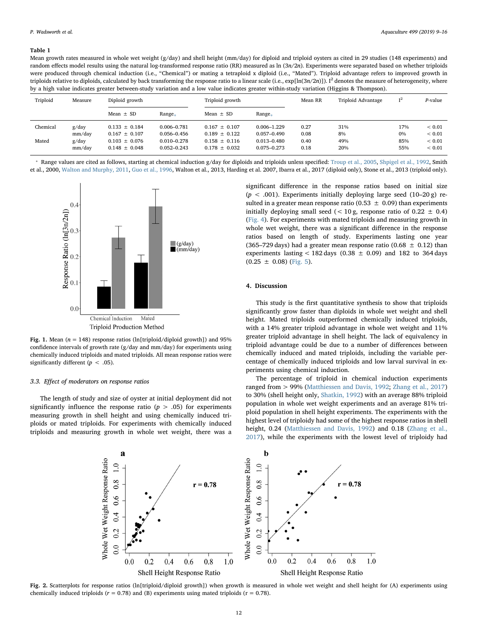## <span id="page-3-0"></span>Table 1

Mean growth rates measured in whole wet weight (g/day) and shell height (mm/day) for diploid and triploid oysters as cited in 29 studies (148 experiments) and random effects model results using the natural log-transformed response ratio (RR) measured as ln (3n/2n). Experiments were separated based on whether triploids were produced through chemical induction (i.e., "Chemical") or mating a tetraploid x diploid (i.e., "Mated"). Triploid advantage refers to improved growth in triploids relative to diploids, calculated by back transforming the response ratio to a linear scale (i.e., exp[ln(3n/2n)]). I<sup>2</sup> denotes the measure of heterogeneity, where by a high value indicates greater between-study variation and a low value indicates greater within-study variation (Higgins & Thompson).

| Triploid          | Measure                            | Diploid growth                                                                   |                                                                          | Triploid growth                                                                |                                                                          | Mean RR                      | Triploid Advantage      | $\mathbf{I}^2$          | P-value                                                  |
|-------------------|------------------------------------|----------------------------------------------------------------------------------|--------------------------------------------------------------------------|--------------------------------------------------------------------------------|--------------------------------------------------------------------------|------------------------------|-------------------------|-------------------------|----------------------------------------------------------|
|                   |                                    | Mean $\pm$ SD                                                                    | $Range_*$                                                                | Mean $\pm$ SD                                                                  | Range $_{*}$                                                             |                              |                         |                         |                                                          |
| Chemical<br>Mated | g/day<br>mm/day<br>g/day<br>mm/day | $0.133 \pm 0.184$<br>$0.167 \pm 0.107$<br>$0.103 \pm 0.076$<br>$0.148 \pm 0.048$ | $0.006 - 0.781$<br>$0.056 - 0.456$<br>$0.010 - 0.278$<br>$0.052 - 0.243$ | $0.167 \pm 0.107$<br>$0.189 + 0.122$<br>$0.158 \pm 0.116$<br>$0.178 \pm 0.032$ | $0.006 - 1.229$<br>$0.057 - 0.490$<br>$0.013 - 0.480$<br>$0.075 - 0.273$ | 0.27<br>0.08<br>0.40<br>0.18 | 31%<br>8%<br>49%<br>20% | 17%<br>0%<br>85%<br>55% | ${}_{0.01}$<br>${}_{0.01}$<br>${}_{0.01}$<br>${}_{0.01}$ |

<span id="page-3-3"></span><span id="page-3-1"></span>⁎ Range values are cited as follows, starting at chemical induction g/day for diploids and triploids unless specified: [Troup et al., 2005,](#page-7-23) [Shpigel et al., 1992](#page-7-24), Smith et al., 2000, [Walton and Murphy, 2011](#page-7-25), [Guo et al., 1996,](#page-6-31) Walton et al., 2013, Harding et al. 2007, Ibarra et al., 2017 (diploid only), Stone et al., 2013 (triploid only).



Fig. 1. Mean ( $n = 148$ ) response ratios (ln[triploid/diploid growth]) and 95% confidence intervals of growth rate (g/day and mm/day) for experiments using chemically induced triploids and mated triploids. All mean response ratios were significantly different ( $p < .05$ ).

#### 3.3. Effect of moderators on response ratios

<span id="page-3-2"></span>The length of study and size of oyster at initial deployment did not significantly influence the response ratio  $(p > .05)$  for experiments measuring growth in shell height and using chemically induced triploids or mated triploids. For experiments with chemically induced triploids and measuring growth in whole wet weight, there was a

significant difference in the response ratios based on initial size  $(p < .001)$ . Experiments initially deploying large seed (10–20 g) resulted in a greater mean response ratio (0.53  $\pm$  0.09) than experiments initially deploying small seed ( $<$  10 g, response ratio of 0.22  $\pm$  0.4) ([Fig. 4](#page-4-1)). For experiments with mated triploids and measuring growth in whole wet weight, there was a significant difference in the response ratios based on length of study. Experiments lasting one year (365–729 days) had a greater mean response ratio (0.68  $\pm$  0.12) than experiments lasting  $<$  182 days (0.38  $\pm$  0.09) and 182 to 364 days  $(0.25 \pm 0.08)$  ([Fig. 5](#page-5-0)).

#### 4. Discussion

This study is the first quantitative synthesis to show that triploids significantly grow faster than diploids in whole wet weight and shell height. Mated triploids outperformed chemically induced triploids, with a 14% greater triploid advantage in whole wet weight and 11% greater triploid advantage in shell height. The lack of equivalency in triploid advantage could be due to a number of differences between chemically induced and mated triploids, including the variable percentage of chemically induced triploids and low larval survival in experiments using chemical induction.

The percentage of triploid in chemical induction experiments ranged from > 99% ([Matthiessen and Davis, 1992](#page-7-20); [Zhang et al., 2017\)](#page-7-21) to 30% (shell height only, [Shatkin, 1992](#page-7-22)) with an average 88% triploid population in whole wet weight experiments and an average 81% triploid population in shell height experiments. The experiments with the highest level of triploidy had some of the highest response ratios in shell height, 0.24 ([Matthiessen and Davis, 1992](#page-7-20)) and 0.18 [\(Zhang et al.,](#page-7-21) [2017\)](#page-7-21), while the experiments with the lowest level of triploidy had



Fig. 2. Scatterplots for response ratios (ln[triploid/diploid growth]) when growth is measured in whole wet weight and shell height for (A) experiments using chemically induced triploids ( $r = 0.78$ ) and (B) experiments using mated triploids ( $r = 0.78$ ).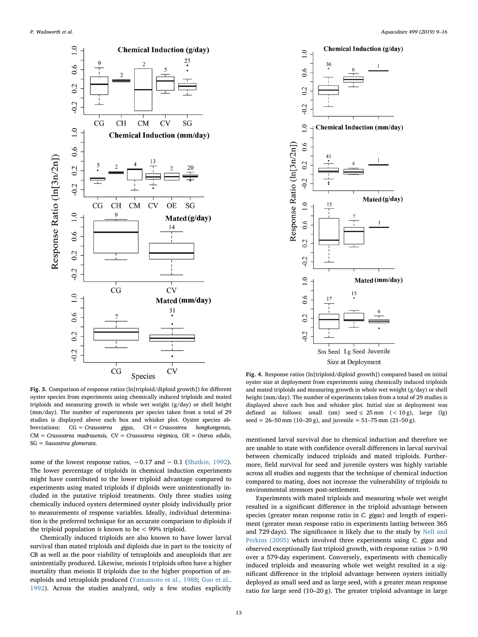<span id="page-4-0"></span>

Fig. 3. Comparison of response ratios (ln[triploid/diploid growth]) for different oyster species from experiments using chemically induced triploids and mated triploids and measuring growth in whole wet weight (g/day) or shell height (mm/day). The number of experiments per species taken from a total of 29 studies is displayed above each box and whisker plot. Oyster species abbreviations: CG = Crassostrea gigas, CH = Crassostrea hongkongensis,  $CM =$  Crassostrea madrasensis,  $CV =$  Crassostrea virginica,  $OE =$  Ostrea edulis, SG = Sassostrea glomerata.

some of the lowest response ratios,  $-0.17$  and  $-0.1$  ([Shatkin, 1992](#page-7-22)). The lower percentage of triploids in chemical induction experiments might have contributed to the lower triploid advantage compared to experiments using mated triploids if diploids were unintentionally included in the putative triploid treatments. Only three studies using chemically induced oysters determined oyster ploidy individually prior to measurements of response variables. Ideally, individual determination is the preferred technique for an accurate comparison to diploids if the triploid population is known to be < 99% triploid.

Chemically induced triploids are also known to have lower larval survival than mated triploids and diploids due in part to the toxicity of CB as well as the poor viability of tetraploids and aneuploids that are unintentially produced. Likewise, meiosis I triploids often have a higher mortality than meiosis II triploids due to the higher proportion of aneuploids and tetraploids produced ([Yamamoto et al., 1988](#page-7-26); [Guo et al.,](#page-6-5) [1992\)](#page-6-5). Across the studies analyzed, only a few studies explicitly

<span id="page-4-1"></span>

Fig. 4. Response ratios (ln[triploid/diploid growth]) compared based on initial oyster size at deployment from experiments using chemically induced triploids and mated triploids and measuring growth in whole wet weight (g/day) or shell height (mm/day). The number of experiments taken from a total of 29 studies is displayed above each box and whisker plot. Initial size at deployment was defined as follows: small (sm) seed  $\leq$  25 mm ( $\lt$  10 g), large (lg) seed =  $26-50$  mm (10-20 g), and juvenile =  $51-75$  mm (21-50 g).

mentioned larval survival due to chemical induction and therefore we are unable to state with confidence overall differences in larval survival between chemically induced triploids and mated triploids. Furthermore, field survival for seed and juvenile oysters was highly variable across all studies and suggests that the technique of chemical induction compared to mating, does not increase the vulnerability of triploids to environmental stressors post-settlement.

Experiments with mated triploids and measuring whole wet weight resulted in a significant difference in the triploid advantage between species (greater mean response ratio in C. gigas) and length of experiment (greater mean response ratio in experiments lasting between 365 and 729 days). The significance is likely due to the study by [Nell and](#page-7-4) [Perkins \(2005\)](#page-7-4) which involved three experiments using C. gigas and observed exceptionally fast triploid growth, with response ratios > 0.90 over a 579-day experiment. Conversely, experiments with chemically induced triploids and measuring whole wet weight resulted in a significant difference in the triploid advantage between oysters initially deployed as small seed and as large seed, with a greater mean response ratio for large seed (10–20 g). The greater triploid advantage in large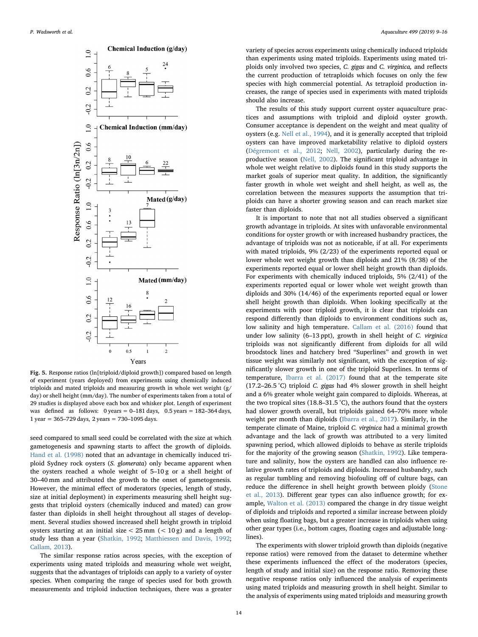<span id="page-5-0"></span>

Fig. 5. Response ratios (ln[triploid/diploid growth]) compared based on length of experiment (years deployed) from experiments using chemically induced triploids and mated triploids and measuring growth in whole wet weight (g/ day) or shell height (mm/day). The number of experiments taken from a total of 29 studies is displayed above each box and whisker plot. Length of experiment was defined as follows:  $0 \text{ years} = 0-181 \text{ days}$ ,  $0.5 \text{ years} = 182-364 \text{ days}$ , 1 year = 365–729 days, 2 years = 730–1095 days.

seed compared to small seed could be correlated with the size at which gametogenesis and spawning starts to affect the growth of diploids. [Hand et al. \(1998\)](#page-6-32) noted that an advantage in chemically induced triploid Sydney rock oysters (S. glomerata) only became apparent when the oysters reached a whole weight of 5–10 g or a shell height of 30–40 mm and attributed the growth to the onset of gametogenesis. However, the minimal effect of moderators (species, length of study, size at initial deployment) in experiments measuring shell height suggests that triploid oysters (chemically induced and mated) can grow faster than diploids in shell height throughout all stages of development. Several studies showed increased shell height growth in triploid oysters starting at an initial size  $<$  25 mm ( $<$  10 g) and a length of study less than a year [\(Shatkin, 1992](#page-7-22); [Matthiessen and Davis, 1992](#page-7-20); [Callam, 2013](#page-6-22)).

The similar response ratios across species, with the exception of experiments using mated triploids and measuring whole wet weight, suggests that the advantages of triploids can apply to a variety of oyster species. When comparing the range of species used for both growth measurements and triploid induction techniques, there was a greater

variety of species across experiments using chemically induced triploids than experiments using mated triploids. Experiments using mated triploids only involved two species, C. gigas and C. virginica, and reflects the current production of tetraploids which focuses on only the few species with high commercial potential. As tetraploid production increases, the range of species used in experiments with mated triploids should also increase.

The results of this study support current oyster aquaculture practices and assumptions with triploid and diploid oyster growth. Consumer acceptance is dependent on the weight and meat quality of oysters (e.g. [Nell et al., 1994](#page-7-27)), and it is generally accepted that triploid oysters can have improved marketability relative to diploid oysters ([Dégremont et al., 2012;](#page-6-7) [Nell, 2002\)](#page-7-1), particularly during the reproductive season ([Nell, 2002\)](#page-7-1). The significant triploid advantage in whole wet weight relative to diploids found in this study supports the market goals of superior meat quality. In addition, the significantly faster growth in whole wet weight and shell height, as well as, the correlation between the measures supports the assumption that triploids can have a shorter growing season and can reach market size faster than diploids.

It is important to note that not all studies observed a significant growth advantage in triploids. At sites with unfavorable environmental conditions for oyster growth or with increased husbandry practices, the advantage of triploids was not as noticeable, if at all. For experiments with mated triploids, 9% (2/23) of the experiments reported equal or lower whole wet weight growth than diploids and 21% (8/38) of the experiments reported equal or lower shell height growth than diploids. For experiments with chemically induced triploids, 5% (2/41) of the experiments reported equal or lower whole wet weight growth than diploids and 30% (14/46) of the experiments reported equal or lower shell height growth than diploids. When looking specifically at the experiments with poor triploid growth, it is clear that triploids can respond differently than diploids to environment conditions such as, low salinity and high temperature. [Callam et al. \(2016\)](#page-6-2) found that under low salinity (6–13 ppt), growth in shell height of C. virginica triploids was not significantly different from diploids for all wild broodstock lines and hatchery bred "Superlines" and growth in wet tissue weight was similarly not significant, with the exception of significantly slower growth in one of the triploid Superlines. In terms of temperature, [Ibarra et al. \(2017\)](#page-6-8) found that at the temperate site (17.2–26.5 °C) triploid C. gigas had 4% slower growth in shell height and a 6% greater whole weight gain compared to diploids. Whereas, at the two tropical sites (18.8–31.5 °C), the authors found that the oysters had slower growth overall, but triploids gained 64–70% more whole weight per month than diploids [\(Ibarra et al., 2017\)](#page-6-8). Similarly, in the temperate climate of Maine, triploid C. virginica had a minimal growth advantage and the lack of growth was attributed to a very limited spawning period, which allowed diploids to behave as sterile triploids for the majority of the growing season ([Shatkin, 1992](#page-7-22)). Like temperature and salinity, how the oysters are handled can also influence relative growth rates of triploids and diploids. Increased husbandry, such as regular tumbling and removing biofouling off of culture bags, can reduce the difference in shell height growth between ploidy [\(Stone](#page-7-3) [et al., 2013](#page-7-3)). Different gear types can also influence growth; for example, [Walton et al. \(2013\)](#page-7-6) compared the change in dry tissue weight of diploids and triploids and reported a similar increase between ploidy when using floating bags, but a greater increase in triploids when using other gear types (i.e., bottom cages, floating cages and adjustable longlines).

The experiments with slower triploid growth than diploids (negative reponse ratios) were removed from the dataset to determine whether these experiments influenced the effect of the moderators (species, length of study and initial size) on the response ratio. Removing these negative response ratios only influenced the analysis of experiments using mated triploids and measuring growth in shell height. Similar to the analysis of experiments using mated triploids and measuring growth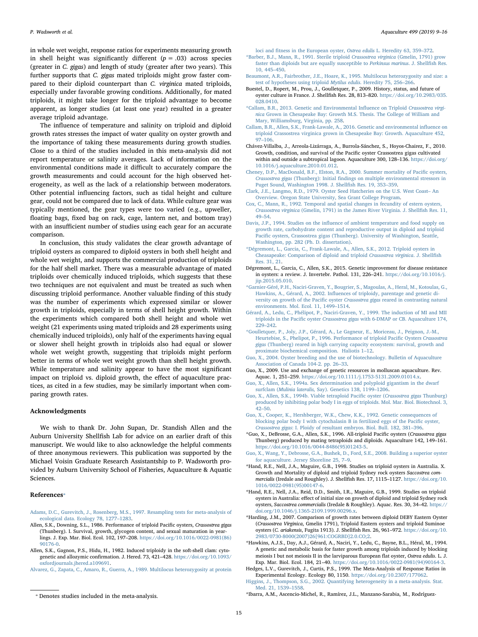in whole wet weight, response ratios for experiments measuring growth in shell height was significantly different  $(p = .03)$  across species (greater in C. gigas) and length of study (greater after two years). This further supports that C. gigas mated triploids might grow faster compared to their diploid counterpart than C. virginica mated triploids, especially under favorable growing conditions. Additionally, for mated triploids, it might take longer for the triploid advantage to become apparent, as longer studies (at least one year) resulted in a greater average triploid advantage.

The influence of temperature and salinity on triploid and diploid growth rates stresses the impact of water quality on oyster growth and the importance of taking these measurements during growth studies. Close to a third of the studies included in this meta-analysis did not report temperature or salinity averages. Lack of information on the environmental conditions made it difficult to accurately compare the growth measurements and could account for the high observed heterogeneity, as well as the lack of a relationship between moderators. Other potential influencing factors, such as tidal height and culture gear, could not be compared due to lack of data. While culture gear was typically mentioned, the gear types were too varied (e.g., upweller, floating bags, fixed bag on rack, cage, lantern net, and bottom tray) with an insufficient number of studies using each gear for an accurate comparison.

In conclusion, this study validates the clear growth advantage of triploid oysters as compared to diploid oysters in both shell height and whole wet weight, and supports the commercial production of triploids for the half shell market. There was a measurable advantage of mated triploids over chemically induced triploids, which suggests that these two techniques are not equivalent and must be treated as such when discussing triploid performance. Another valuable finding of this study was the number of experiments which expressed similar or slower growth in triploids, especially in terms of shell height growth. Within the experiments which compared both shell height and whole wet weight (21 experiments using mated triploids and 28 experiments using chemically induced triploids), only half of the experiments having equal or slower shell height growth in triploids also had equal or slower whole wet weight growth, suggesting that triploids might perform better in terms of whole wet weight growth than shell height growth. While temperature and salinity appear to have the most significant impact on triploid vs. diploid growth, the effect of aquaculture practices, as cited in a few studies, may be similarly important when comparing growth rates.

## Acknowledgments

We wish to thank Dr. John Supan, Dr. Standish Allen and the Auburn University Shellfish Lab for advice on an earlier draft of this manuscript. We would like to also acknowledge the helpful comments of three anonymous reviewers. This publication was supported by the Michael Voisin Graduate Research Assistantship to P. Wadsworth provided by Auburn University School of Fisheries, Aquaculture & Aquatic Sciences.

## References[⁎](#page-6-33)

- <span id="page-6-29"></span>[Adams, D.C., Gurevitch, J., Rosenberg, M.S., 1997. Resampling tests for meta-analysis of](http://refhub.elsevier.com/S0044-8486(18)30097-8/rf0005) [ecological data. Ecology 78, 1277](http://refhub.elsevier.com/S0044-8486(18)30097-8/rf0005)–1283.
- <span id="page-6-1"></span>Allen, S.K., Downing, S.L., 1986. Performance of triploid Pacific oysters, Crassostrea gigas (Thunberg). I. Survival, growth, glycogen content, and sexual maturation in yearlings. J. Exp. Mar. Biol. Ecol. 102, 197–208. [https://doi.org/10.1016/0022-0981\(86\)](https://doi.org/10.1016/0022-0981(86)90176-0) [90176-0](https://doi.org/10.1016/0022-0981(86)90176-0).
- <span id="page-6-20"></span>Allen, S.K., Gagnon, P.S., Hidu, H., 1982. Induced triploidy in the soft-shell clam: cytogenetic and allozymic confirmation. J. Hered. 73, 421–428. [https://doi.org/10.1093/](https://doi.org/10.1093/oxfordjournals.jhered.a109691) [oxfordjournals.jhered.a109691.](https://doi.org/10.1093/oxfordjournals.jhered.a109691)

<span id="page-6-17"></span>[Alvarez, G., Zapata, C., Amaro, R., Guerra, A., 1989. Multilocus heterozygosity at protein](http://refhub.elsevier.com/S0044-8486(18)30097-8/rf0020)

loci and fi[tness in the European oyster,](http://refhub.elsevier.com/S0044-8486(18)30097-8/rf0020) Ostrea edulis L. Heredity 63, 359–372.

- <span id="page-6-13"></span>[\\*Barber, B.J., Mann, R., 1991. Sterile triploid](http://refhub.elsevier.com/S0044-8486(18)30097-8/rf0025) Crassostrea virginica (Gmelin, 1791) grow [faster than diploids but are equally susceptible to](http://refhub.elsevier.com/S0044-8486(18)30097-8/rf0025) Perkinsus marinus. J. Shellfish Res. [10, 445](http://refhub.elsevier.com/S0044-8486(18)30097-8/rf0025)–450.
- <span id="page-6-19"></span>[Beaumont, A.R., Fairbrother, J.E., Hoare, K., 1995. Multilocus heterozygosity and size: a](http://refhub.elsevier.com/S0044-8486(18)30097-8/rf0030) [test of hypotheses using triploid](http://refhub.elsevier.com/S0044-8486(18)30097-8/rf0030) Mytilus edulis. Heredity 75, 256–266.
- <span id="page-6-9"></span>Buestel, D., Ropert, M., Prou, J., Goulletquer, P., 2009. History, status, and future of oyster culture in France. J. Shellfish Res. 28, 813–820. [https://doi.org/10.2983/035.](https://doi.org/10.2983/035.028.0410) [028.0410](https://doi.org/10.2983/035.028.0410).
- <span id="page-6-22"></span>[\\*Callam, B.R., 2013. Genetic and Environmental In](http://refhub.elsevier.com/S0044-8486(18)30097-8/rf0040)fluence on Triploid Crassostrea virginica [Grown in Chesapeake Bay: Growth M.S. Thesis. The College of William and](http://refhub.elsevier.com/S0044-8486(18)30097-8/rf0040) [Mary, Williamsburg, Virginia, pp. 258](http://refhub.elsevier.com/S0044-8486(18)30097-8/rf0040).
- <span id="page-6-2"></span>[Callam, B.R., Allen, S.K., Frank-Lawale, A., 2016. Genetic and environmental in](http://refhub.elsevier.com/S0044-8486(18)30097-8/rf0045)fluence on [triploid Crassostrea virginica grown in Chesapeake Bay: Growth. Aquaculture 452,](http://refhub.elsevier.com/S0044-8486(18)30097-8/rf0045) 97–[106.](http://refhub.elsevier.com/S0044-8486(18)30097-8/rf0045)
- <span id="page-6-25"></span>Chávez-Villalba, J., Arreola-Lizárraga, A., Burrola-Sánchez, S., Hoyos-Chairez, F., 2010. Growth, condition, and survival of the Pacific oyster Crassostrea gigas cultivated within and outside a subtropical lagoon. Aquaculture 300, 128-136. [https://doi.org/](https://doi.org/10.1016/j.aquaculture.2010.01.012) [10.1016/j.aquaculture.2010.01.012.](https://doi.org/10.1016/j.aquaculture.2010.01.012)
- <span id="page-6-23"></span>[Cheney, D.P., MacDonald, B.F., Elston, R.A., 2000. Summer mortality of Paci](http://refhub.elsevier.com/S0044-8486(18)30097-8/rf0055)fic oysters, Crassostrea gigas (Thunberg): Initial fi[ndings on multiple environmental stressors in](http://refhub.elsevier.com/S0044-8486(18)30097-8/rf0055) [Puget Sound, Washington 1998. J. Shell](http://refhub.elsevier.com/S0044-8486(18)30097-8/rf0055)fish Res. 19, 353–359.
- <span id="page-6-0"></span>[Clark, J.E., Langmo, R.D., 1979. Oyster Seed Hatcheries on the U.S. West Coast](http://refhub.elsevier.com/S0044-8486(18)30097-8/rf0060)– An Overview. [Oregon State University, Sea Grant College Program.](http://refhub.elsevier.com/S0044-8486(18)30097-8/rf0060)
- <span id="page-6-27"></span>[Cox, C., Mann, R., 1992. Temporal and spatial changes in fecundity of estern oysters,](http://refhub.elsevier.com/S0044-8486(18)30097-8/rf0065) Crassostrea virginica [\(Gmelin, 1791\) in the James River Virginia. J. Shell](http://refhub.elsevier.com/S0044-8486(18)30097-8/rf0065)fish Res. 11, 49–[54](http://refhub.elsevier.com/S0044-8486(18)30097-8/rf0065).
- <span id="page-6-26"></span>Davis, J.P., 1994. Studies on the infl[uence of ambient temperature and food supply on](http://refhub.elsevier.com/S0044-8486(18)30097-8/rf0070) [growth rate, carbohydrate content and reproductive output in diploid and triploid](http://refhub.elsevier.com/S0044-8486(18)30097-8/rf0070) Pacifi[c oysters, Crassostrea gigas \(Thunberg\). University of Washington, Seattle,](http://refhub.elsevier.com/S0044-8486(18)30097-8/rf0070) [Washington, pp. 282 \(Ph. D. dissertation\)](http://refhub.elsevier.com/S0044-8486(18)30097-8/rf0070).
- <span id="page-6-7"></span>[\\*Dégremont, L., Garcia, C., Frank-Lawale, A., Allen, S.K., 2012. Triploid oysters in](http://refhub.elsevier.com/S0044-8486(18)30097-8/rf0075) [Cheasapeake: Comparison of diploid and triploid](http://refhub.elsevier.com/S0044-8486(18)30097-8/rf0075) Crassostrea virginica. J. Shellfish [Res. 31, 21.](http://refhub.elsevier.com/S0044-8486(18)30097-8/rf0075)
- <span id="page-6-14"></span>Dégremont, L., Garcia, C., Allen, S.K., 2015. Genetic improvement for disease resistance in oysters: a review. J. Invertebr. Pathol. 131, 226–241. [https://doi.org/10.1016/j.](https://doi.org/10.1016/j.jip.2015.05.010) iip.2015.05.010.
- <span id="page-6-12"></span>[\\*Garnier-Géré, P.H., Naciri-Graven, Y., Bougrier, S., Magoulas, A., Heral, M., Kotoulas, G.,](http://refhub.elsevier.com/S0044-8486(18)30097-8/rf0090) Hawkins, A., Gérard, A., 2002. Infl[uences of triploidy, parentage and genetic di](http://refhub.elsevier.com/S0044-8486(18)30097-8/rf0090)[versity on growth of the Paci](http://refhub.elsevier.com/S0044-8486(18)30097-8/rf0090)fic oyster Crassostrea gigas reared in contrasting natural [environments. Mol. Ecol. 11, 1499](http://refhub.elsevier.com/S0044-8486(18)30097-8/rf0090)–1514.
- <span id="page-6-3"></span>[Gérard, A., Ledu, C., Phélipot, P., Naciri-Graven, Y., 1999. The induction of MI and MII](http://refhub.elsevier.com/S0044-8486(18)30097-8/rf0095) triploids in the Pacific oyster Crassostrea gigas [with 6-DMAP or CB. Aquaculture 174,](http://refhub.elsevier.com/S0044-8486(18)30097-8/rf0095) 229–[242](http://refhub.elsevier.com/S0044-8486(18)30097-8/rf0095).
- <span id="page-6-21"></span>[\\*Goulletquer, P., Joly, J.P., Gérard, A., Le Gagneur, E., Moriceau, J., Peignon, J.-M.,](http://refhub.elsevier.com/S0044-8486(18)30097-8/rf0100) [Heurtebise, S., Phelipot, P., 1996. Performance of triploid Paci](http://refhub.elsevier.com/S0044-8486(18)30097-8/rf0100)fic Oysters Crassostrea gigas [\(Thunberg\) reared in high carrying capacity ecosystem: survival, growth and](http://refhub.elsevier.com/S0044-8486(18)30097-8/rf0100) [proximate biochemical composition. Haliotis 1](http://refhub.elsevier.com/S0044-8486(18)30097-8/rf0100)–12.
- <span id="page-6-10"></span>[Guo, X., 2004. Oyster breeding and the use of biotechnology. Bulletin of Aquaculture](http://refhub.elsevier.com/S0044-8486(18)30097-8/rf0105) [Association of Canada 104-2. pp. 26](http://refhub.elsevier.com/S0044-8486(18)30097-8/rf0105)–33.
- <span id="page-6-15"></span>Guo, X., 2009. Use and exchange of genetic resources in molluscan aquaculture. Rev. Aquac. 1, 251–259. <https://doi.org/10.1111/j.1753-5131.2009.01014.x>.
- <span id="page-6-16"></span>[Guo, X., Allen, S.K., 1994a. Sex determination and polyploid gigantism in the dwarf](http://refhub.elsevier.com/S0044-8486(18)30097-8/rf0115) surfclam (Mulinia lateralis, [Say\). Genetics 138, 1199](http://refhub.elsevier.com/S0044-8486(18)30097-8/rf0115)–1206.
- <span id="page-6-6"></span>[Guo, X., Allen, S.K., 1994b. Viable tetraploid Paci](http://refhub.elsevier.com/S0044-8486(18)30097-8/rf0120)fic oyster (Crassostrea gigas Thunburg) [produced by inhibiting polar body I in eggs of triploids. Mol. Mar. Biol. Biotechnol. 3,](http://refhub.elsevier.com/S0044-8486(18)30097-8/rf0120) 42–[50](http://refhub.elsevier.com/S0044-8486(18)30097-8/rf0120).
- <span id="page-6-5"></span>[Guo, X., Cooper, K., Hershberger, W.K., Chew, K.K., 1992. Genetic consequences of](http://refhub.elsevier.com/S0044-8486(18)30097-8/rf0125) [blocking polar body I with cytochalasin B in fertilized eggs of the Paci](http://refhub.elsevier.com/S0044-8486(18)30097-8/rf0125)fic oyster, Crassostrea gigas[: I. Ploidy of resultant embryos. Biol. Bull. 182, 381](http://refhub.elsevier.com/S0044-8486(18)30097-8/rf0125)–396.
- <span id="page-6-31"></span>\*Guo, X., DeBrosse, G.A., Allen, S.K., 1996. All-triploid Pacific oysters (Crassostrea gigas Thunberg) produced by mating tetraploids and diploids. Aquaculture 142, 149–161. [https://doi.org/10.1016/0044-8486\(95\)01243-5.](https://doi.org/10.1016/0044-8486(95)01243-5)
- <span id="page-6-11"></span>[Guo, X., Wang, Y., Debrosse, G.A., Bushek, D., Ford, S.E., 2008. Building a superior oyster](http://refhub.elsevier.com/S0044-8486(18)30097-8/rf0135) [for aquaculture. Jersey Shoreline 25, 7](http://refhub.elsevier.com/S0044-8486(18)30097-8/rf0135)–9.
- <span id="page-6-32"></span>\*Hand, R.E., Nell, J.A., Maguire, G.B., 1998. Studies on triploid oysters in Australia. X. Growth and Mortality of diploid and triploid Sydney rock oysters Saccostrea commercialis (Iredale and Roughley). J. Shellfish Res. 17, 1115–1127. [https://doi.org/10.](https://doi.org/10.1016/0022-0981(95)00147-6) [1016/0022-0981\(95\)00147-6](https://doi.org/10.1016/0022-0981(95)00147-6).
- <span id="page-6-4"></span>\*Hand, R.E., Nell, J.A., Reid, D.D., Smith, I.R., Maguire, G.B., 1999. Studies on triploid oysters in Australia: effect of initial size on growth of diploid and triploid Sydney rock oysters, Saccostrea commercialis (Iredale & Roughley). Aquac. Res. 30, 34–42. [https://](https://doi.org/10.1046/j.1365-2109.1999.00296.x) [doi.org/10.1046/j.1365-2109.1999.00296.x.](https://doi.org/10.1046/j.1365-2109.1999.00296.x)
- <span id="page-6-24"></span>\*Harding, J.M., 2007. Comparison of growth rates between diploid DEBY Eastern Oyster (Crassostrea Virginica, Gmelin 1791), Triploid Eastern oysters and triploid Suminoe oysters (C. ariakensis, Fugita 1913). J. Shellfish Res. 26, 961–972. [https://doi.org/10.](https://doi.org/10.2983/0730-8000(2007)26[961:COGRBD]2.0.CO;2) [2983/0730-8000\(2007\)26\[961:COGRBD\]2.0.CO;2](https://doi.org/10.2983/0730-8000(2007)26[961:COGRBD]2.0.CO;2).
- <span id="page-6-18"></span>\*Hawkins, A.J.S., Day, A.J., Gérard, A., Naciri, Y., Ledu, C., Bayne, B.L., Héral, M., 1994. A genetic and metabolic basis for faster growth among triploids induced by blocking meiosis I but not meiosis II in the larviparous European flat oyster, Ostrea edulis. L. J. Exp. Mar. Biol. Ecol. 184, 21–40. [https://doi.org/10.1016/0022-0981\(94\)90164-3](https://doi.org/10.1016/0022-0981(94)90164-3).
- <span id="page-6-28"></span>Hedges, L.V., Gurevitch, J., Curtis, P.S., 1999. The Meta-Analysis of Response Ratios in Experimental Ecology. Ecology 80, 1150. <https://doi.org/10.2307/177062>.
- <span id="page-6-30"></span><span id="page-6-8"></span>[Higgins, J., Thompson, S.G., 2002. Quantifying heterogeneity in a meta-analysis. Stat.](http://refhub.elsevier.com/S0044-8486(18)30097-8/rf0165) [Med. 21, 1539](http://refhub.elsevier.com/S0044-8486(18)30097-8/rf0165)–1558.
- <span id="page-6-33"></span>⁎ \*Ibarra, A.M., Ascencio-Michel, R., Ramírez, J.L., Manzano-Sarabia, M., Rodríguez- Denotes studies included in the meta-analysis.